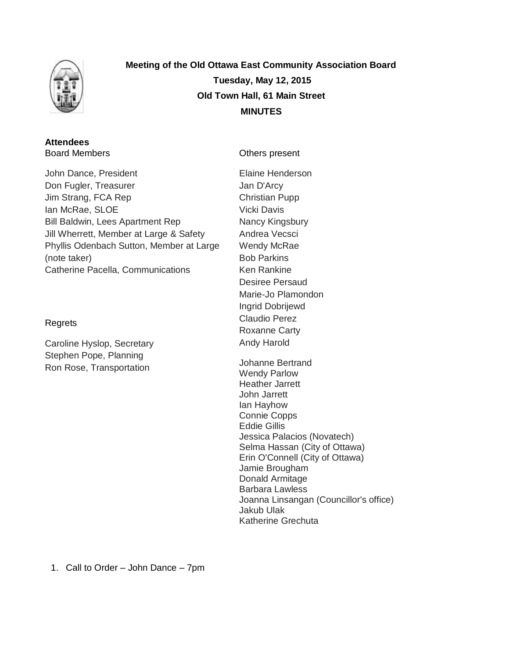

**Meeting of the Old Ottawa East Community Association Board Tuesday, May 12, 2015 Old Town Hall, 61 Main Street MINUTES**

#### **Attendees** Board Members

John Dance, President Don Fugler, Treasurer Jim Strang, FCA Rep Ian McRae, SLOE Bill Baldwin, Lees Apartment Rep Jill Wherrett, Member at Large & Safety Phyllis Odenbach Sutton, Member at Large (note taker) Catherine Pacella, Communications

## Regrets

Caroline Hyslop, Secretary Stephen Pope, Planning Ron Rose, Transportation

Others present

Elaine Henderson Jan D'Arcy Christian Pupp Vicki Davis Nancy Kingsbury Andrea Vecsci Wendy McRae Bob Parkins Ken Rankine Desiree Persaud Marie-Jo Plamondon Ingrid Dobrijewd Claudio Perez Roxanne Carty Andy Harold

Johanne Bertrand Wendy Parlow Heather Jarrett John Jarrett Ian Hayhow Connie Copps Eddie Gillis Jessica Palacios (Novatech) Selma Hassan (City of Ottawa) Erin O'Connell (City of Ottawa) Jamie Brougham Donald Armitage Barbara Lawless Joanna Linsangan (Councillor's office) Jakub Ulak Katherine Grechuta

1. Call to Order – John Dance – 7pm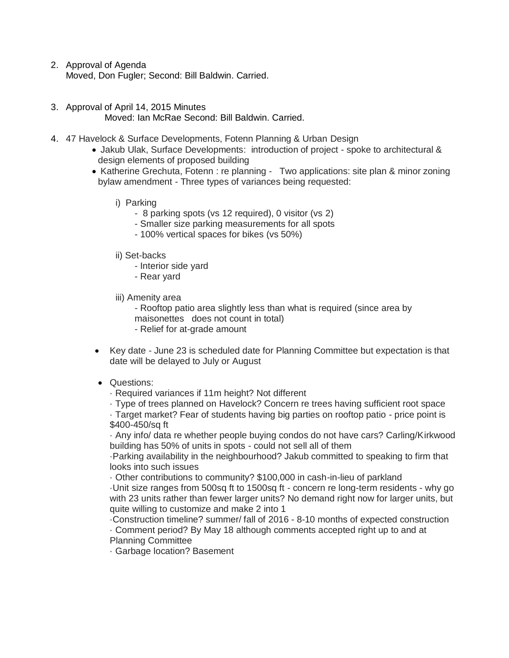2. Approval of Agenda

Moved, Don Fugler; Second: Bill Baldwin. Carried.

- 3. Approval of April 14, 2015 Minutes Moved: Ian McRae Second: Bill Baldwin. Carried.
- 4. 47 Havelock & Surface Developments, Fotenn Planning & Urban Design
	- Jakub Ulak, Surface Developments: introduction of project spoke to architectural & design elements of proposed building
	- Katherine Grechuta, Fotenn : re planning Two applications: site plan & minor zoning bylaw amendment - Three types of variances being requested:
		- i) Parking
			- 8 parking spots (vs 12 required), 0 visitor (vs 2)
			- Smaller size parking measurements for all spots
			- 100% vertical spaces for bikes (vs 50%)
		- ii) Set-backs
			- Interior side yard
			- Rear yard
		- iii) Amenity area
			- Rooftop patio area slightly less than what is required (since area by maisonettes does not count in total)
			- Relief for at-grade amount
	- Key date June 23 is scheduled date for Planning Committee but expectation is that date will be delayed to July or August

# • Questions:

- · Required variances if 11m height? Not different
- · Type of trees planned on Havelock? Concern re trees having sufficient root space

· Target market? Fear of students having big parties on rooftop patio - price point is \$400-450/sq ft

· Any info/ data re whether people buying condos do not have cars? Carling/Kirkwood building has 50% of units in spots - could not sell all of them

·Parking availability in the neighbourhood? Jakub committed to speaking to firm that looks into such issues

· Other contributions to community? \$100,000 in cash-in-lieu of parkland

·Unit size ranges from 500sq ft to 1500sq ft - concern re long-term residents - why go with 23 units rather than fewer larger units? No demand right now for larger units, but quite willing to customize and make 2 into 1

·Construction timeline? summer/ fall of 2016 - 8-10 months of expected construction

· Comment period? By May 18 although comments accepted right up to and at Planning Committee

· Garbage location? Basement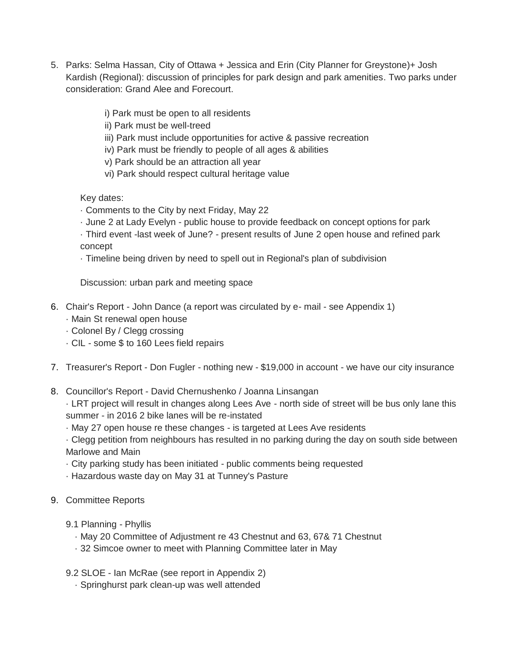- 5. Parks: Selma Hassan, City of Ottawa + Jessica and Erin (City Planner for Greystone)+ Josh Kardish (Regional): discussion of principles for park design and park amenities. Two parks under consideration: Grand Alee and Forecourt.
	- i) Park must be open to all residents
	- ii) Park must be well-treed
	- iii) Park must include opportunities for active & passive recreation
	- iv) Park must be friendly to people of all ages & abilities
	- v) Park should be an attraction all year
	- vi) Park should respect cultural heritage value

Key dates:

- · Comments to the City by next Friday, May 22
- · June 2 at Lady Evelyn public house to provide feedback on concept options for park
- · Third event -last week of June? present results of June 2 open house and refined park concept
- · Timeline being driven by need to spell out in Regional's plan of subdivision

Discussion: urban park and meeting space

- 6. Chair's Report John Dance (a report was circulated by e- mail see Appendix 1)
	- · Main St renewal open house
	- · Colonel By / Clegg crossing
	- · CIL some \$ to 160 Lees field repairs
- 7. Treasurer's Report Don Fugler nothing new \$19,000 in account we have our city insurance
- 8. Councillor's Report David Chernushenko / Joanna Linsangan
	- · LRT project will result in changes along Lees Ave north side of street will be bus only lane this summer - in 2016 2 bike lanes will be re-instated
	- · May 27 open house re these changes is targeted at Lees Ave residents
	- · Clegg petition from neighbours has resulted in no parking during the day on south side between Marlowe and Main
	- · City parking study has been initiated public comments being requested
	- · Hazardous waste day on May 31 at Tunney's Pasture
- 9. Committee Reports
	- 9.1 Planning Phyllis
		- · May 20 Committee of Adjustment re 43 Chestnut and 63, 67& 71 Chestnut
		- · 32 Simcoe owner to meet with Planning Committee later in May
	- 9.2 SLOE Ian McRae (see report in Appendix 2)
		- · Springhurst park clean-up was well attended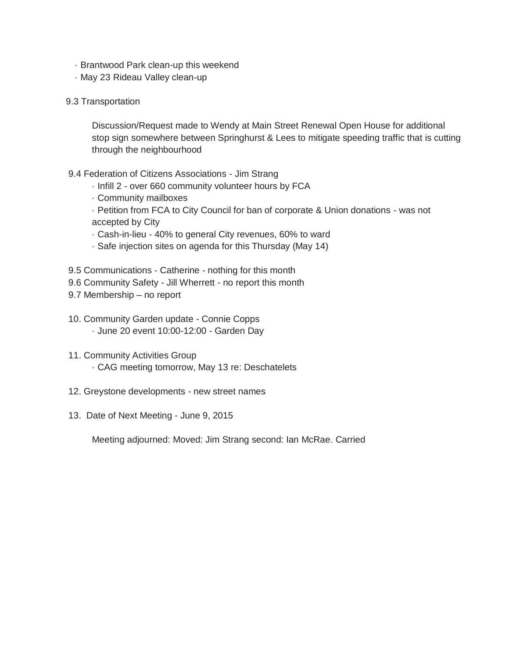- · Brantwood Park clean-up this weekend
- · May 23 Rideau Valley clean-up
- 9.3 Transportation

Discussion/Request made to Wendy at Main Street Renewal Open House for additional stop sign somewhere between Springhurst & Lees to mitigate speeding traffic that is cutting through the neighbourhood

- 9.4 Federation of Citizens Associations Jim Strang
	- · Infill 2 over 660 community volunteer hours by FCA
	- · Community mailboxes
	- · Petition from FCA to City Council for ban of corporate & Union donations was not accepted by City
	- · Cash-in-lieu 40% to general City revenues, 60% to ward
	- · Safe injection sites on agenda for this Thursday (May 14)
- 9.5 Communications Catherine nothing for this month
- 9.6 Community Safety Jill Wherrett no report this month
- 9.7 Membership no report
- 10. Community Garden update Connie Copps · June 20 event 10:00-12:00 - Garden Day
- 11. Community Activities Group
	- · CAG meeting tomorrow, May 13 re: Deschatelets
- 12. Greystone developments new street names
- 13. Date of Next Meeting June 9, 2015

Meeting adjourned: Moved: Jim Strang second: Ian McRae. Carried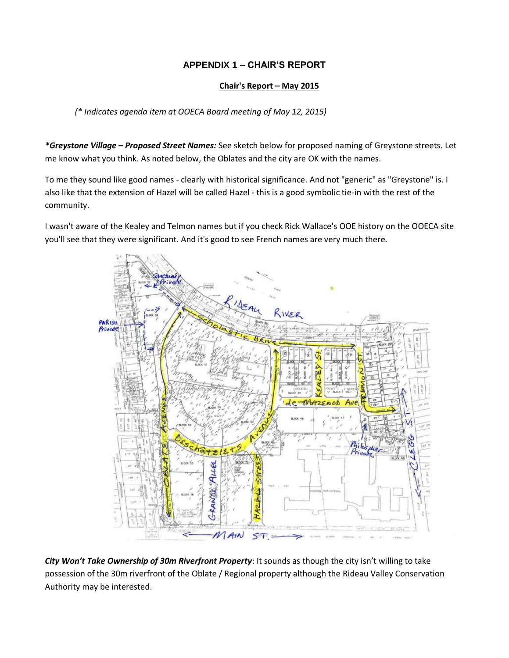# **APPENDIX 1 – CHAIR'S REPORT**

### **Chair's Report – May 2015**

*(\* Indicates agenda item at OOECA Board meeting of May 12, 2015)*

*\*Greystone Village – Proposed Street Names:* See sketch below for proposed naming of Greystone streets. Let me know what you think. As noted below, the Oblates and the city are OK with the names.

To me they sound like good names - clearly with historical significance. And not "generic" as "Greystone" is. I also like that the extension of Hazel will be called Hazel - this is a good symbolic tie-in with the rest of the community.

I wasn't aware of the Kealey and Telmon names but if you check Rick Wallace's OOE history on the OOECA site you'll see that they were significant. And it's good to see French names are very much there.



*City Won't Take Ownership of 30m Riverfront Property*: It sounds as though the city isn't willing to take possession of the 30m riverfront of the Oblate / Regional property although the Rideau Valley Conservation Authority may be interested.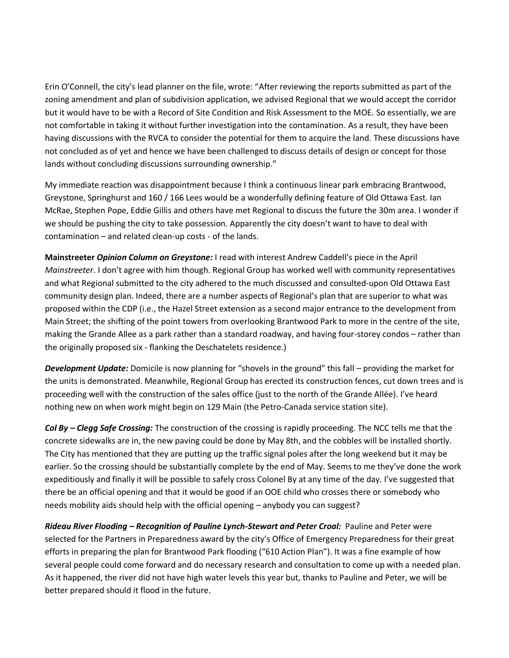Erin O'Connell, the city's lead planner on the file, wrote: "After reviewing the reports submitted as part of the zoning amendment and plan of subdivision application, we advised Regional that we would accept the corridor but it would have to be with a Record of Site Condition and Risk Assessment to the MOE. So essentially, we are not comfortable in taking it without further investigation into the contamination. As a result, they have been having discussions with the RVCA to consider the potential for them to acquire the land. These discussions have not concluded as of yet and hence we have been challenged to discuss details of design or concept for those lands without concluding discussions surrounding ownership."

My immediate reaction was disappointment because I think a continuous linear park embracing Brantwood, Greystone, Springhurst and 160 / 166 Lees would be a wonderfully defining feature of Old Ottawa East. Ian McRae, Stephen Pope, Eddie Gillis and others have met Regional to discuss the future the 30m area. I wonder if we should be pushing the city to take possession. Apparently the city doesn't want to have to deal with contamination – and related clean-up costs - of the lands.

**Mainstreeter** *Opinion Column on Greystone:* I read with interest Andrew Caddell's piece in the April *Mainstreeter*. I don't agree with him though. Regional Group has worked well with community representatives and what Regional submitted to the city adhered to the much discussed and consulted-upon Old Ottawa East community design plan. Indeed, there are a number aspects of Regional's plan that are superior to what was proposed within the CDP (i.e., the Hazel Street extension as a second major entrance to the development from Main Street; the shifting of the point towers from overlooking Brantwood Park to more in the centre of the site, making the Grande Allee as a park rather than a standard roadway, and having four-storey condos – rather than the originally proposed six - flanking the Deschatelets residence.)

*Development Update:* Domicile is now planning for "shovels in the ground" this fall – providing the market for the units is demonstrated. Meanwhile, Regional Group has erected its construction fences, cut down trees and is proceeding well with the construction of the sales office (just to the north of the Grande Allée). I've heard nothing new on when work might begin on 129 Main (the Petro-Canada service station site).

*Col By – Clegg Safe Crossing:* The construction of the crossing is rapidly proceeding. The NCC tells me that the concrete sidewalks are in, the new paving could be done by May 8th, and the cobbles will be installed shortly. The City has mentioned that they are putting up the traffic signal poles after the long weekend but it may be earlier. So the crossing should be substantially complete by the end of May. Seems to me they've done the work expeditiously and finally it will be possible to safely cross Colonel By at any time of the day. I've suggested that there be an official opening and that it would be good if an OOE child who crosses there or somebody who needs mobility aids should help with the official opening – anybody you can suggest?

*Rideau River Flooding – Recognition of Pauline Lynch-Stewart and Peter Croal:* Pauline and Peter were selected for the Partners in Preparedness award by the city's Office of Emergency Preparedness for their great efforts in preparing the plan for Brantwood Park flooding ("610 Action Plan"). It was a fine example of how several people could come forward and do necessary research and consultation to come up with a needed plan. As it happened, the river did not have high water levels this year but, thanks to Pauline and Peter, we will be better prepared should it flood in the future.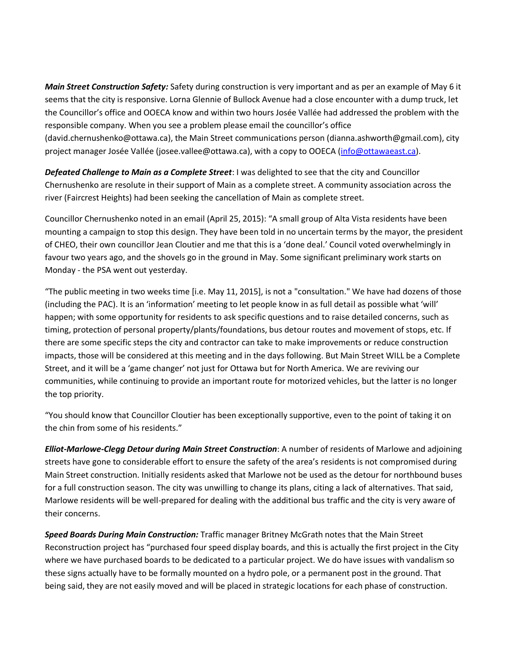*Main Street Construction Safety:* Safety during construction is very important and as per an example of May 6 it seems that the city is responsive. Lorna Glennie of Bullock Avenue had a close encounter with a dump truck, let the Councillor's office and OOECA know and within two hours Josée Vallée had addressed the problem with the responsible company. When you see a problem please email the councillor's office (david.chernushenko@ottawa.ca), the Main Street communications person (dianna.ashworth@gmail.com), city project manager Josée Vallée (josee.vallee@ottawa.ca), with a copy to OOECA [\(info@ottawaeast.ca\)](mailto:info@ottawaeast.ca).

*Defeated Challenge to Main as a Complete Street*: I was delighted to see that the city and Councillor Chernushenko are resolute in their support of Main as a complete street. A community association across the river (Faircrest Heights) had been seeking the cancellation of Main as complete street.

Councillor Chernushenko noted in an email (April 25, 2015): "A small group of Alta Vista residents have been mounting a campaign to stop this design. They have been told in no uncertain terms by the mayor, the president of CHEO, their own councillor Jean Cloutier and me that this is a 'done deal.' Council voted overwhelmingly in favour two years ago, and the shovels go in the ground in May. Some significant preliminary work starts on Monday - the PSA went out yesterday.

"The public meeting in two weeks time [i.e. May 11, 2015], is not a "consultation." We have had dozens of those (including the PAC). It is an 'information' meeting to let people know in as full detail as possible what 'will' happen; with some opportunity for residents to ask specific questions and to raise detailed concerns, such as timing, protection of personal property/plants/foundations, bus detour routes and movement of stops, etc. If there are some specific steps the city and contractor can take to make improvements or reduce construction impacts, those will be considered at this meeting and in the days following. But Main Street WILL be a Complete Street, and it will be a 'game changer' not just for Ottawa but for North America. We are reviving our communities, while continuing to provide an important route for motorized vehicles, but the latter is no longer the top priority.

"You should know that Councillor Cloutier has been exceptionally supportive, even to the point of taking it on the chin from some of his residents."

*Elliot-Marlowe-Clegg Detour during Main Street Construction*: A number of residents of Marlowe and adjoining streets have gone to considerable effort to ensure the safety of the area's residents is not compromised during Main Street construction. Initially residents asked that Marlowe not be used as the detour for northbound buses for a full construction season. The city was unwilling to change its plans, citing a lack of alternatives. That said, Marlowe residents will be well-prepared for dealing with the additional bus traffic and the city is very aware of their concerns.

*Speed Boards During Main Construction:* Traffic manager Britney McGrath notes that the Main Street Reconstruction project has "purchased four speed display boards, and this is actually the first project in the City where we have purchased boards to be dedicated to a particular project. We do have issues with vandalism so these signs actually have to be formally mounted on a hydro pole, or a permanent post in the ground. That being said, they are not easily moved and will be placed in strategic locations for each phase of construction.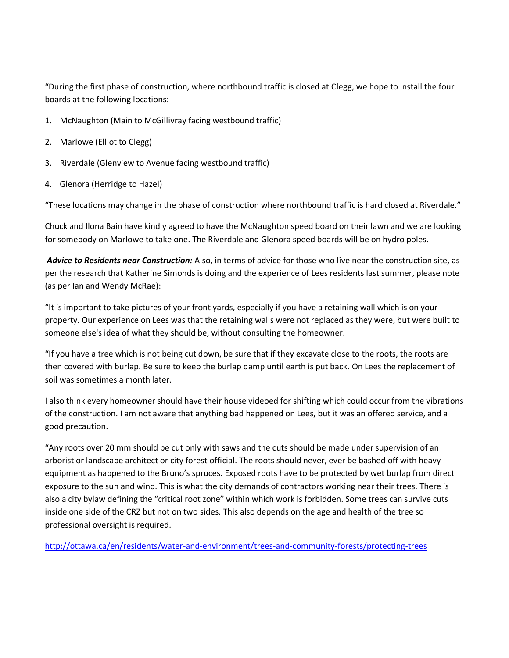"During the first phase of construction, where northbound traffic is closed at Clegg, we hope to install the four boards at the following locations:

- 1. McNaughton (Main to McGillivray facing westbound traffic)
- 2. Marlowe (Elliot to Clegg)
- 3. Riverdale (Glenview to Avenue facing westbound traffic)
- 4. Glenora (Herridge to Hazel)

"These locations may change in the phase of construction where northbound traffic is hard closed at Riverdale."

Chuck and Ilona Bain have kindly agreed to have the McNaughton speed board on their lawn and we are looking for somebody on Marlowe to take one. The Riverdale and Glenora speed boards will be on hydro poles.

*Advice to Residents near Construction:* Also, in terms of advice for those who live near the construction site, as per the research that Katherine Simonds is doing and the experience of Lees residents last summer, please note (as per Ian and Wendy McRae):

"It is important to take pictures of your front yards, especially if you have a retaining wall which is on your property. Our experience on Lees was that the retaining walls were not replaced as they were, but were built to someone else's idea of what they should be, without consulting the homeowner.

"If you have a tree which is not being cut down, be sure that if they excavate close to the roots, the roots are then covered with burlap. Be sure to keep the burlap damp until earth is put back. On Lees the replacement of soil was sometimes a month later.

I also think every homeowner should have their house videoed for shifting which could occur from the vibrations of the construction. I am not aware that anything bad happened on Lees, but it was an offered service, and a good precaution.

"Any roots over 20 mm should be cut only with saws and the cuts should be made under supervision of an arborist or landscape architect or city forest official. The roots should never, ever be bashed off with heavy equipment as happened to the Bruno's spruces. Exposed roots have to be protected by wet burlap from direct exposure to the sun and wind. This is what the city demands of contractors working near their trees. There is also a city bylaw defining the "critical root zone" within which work is forbidden. Some trees can survive cuts inside one side of the CRZ but not on two sides. This also depends on the age and health of the tree so professional oversight is required.

<http://ottawa.ca/en/residents/water-and-environment/trees-and-community-forests/protecting-trees>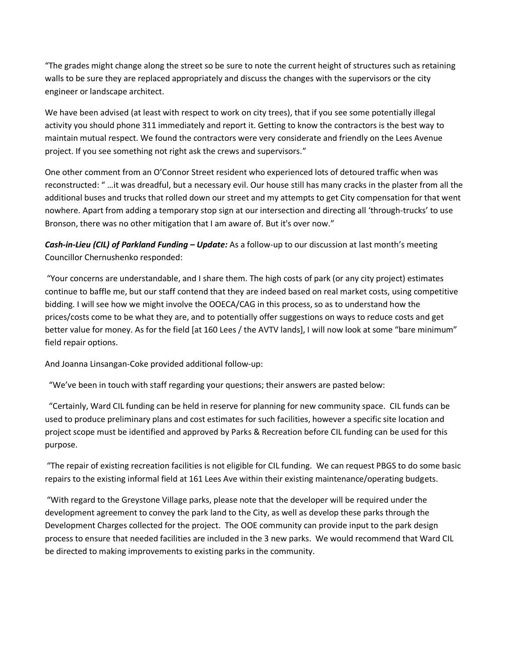"The grades might change along the street so be sure to note the current height of structures such as retaining walls to be sure they are replaced appropriately and discuss the changes with the supervisors or the city engineer or landscape architect.

We have been advised (at least with respect to work on city trees), that if you see some potentially illegal activity you should phone 311 immediately and report it. Getting to know the contractors is the best way to maintain mutual respect. We found the contractors were very considerate and friendly on the Lees Avenue project. If you see something not right ask the crews and supervisors."

One other comment from an O'Connor Street resident who experienced lots of detoured traffic when was reconstructed: " …it was dreadful, but a necessary evil. Our house still has many cracks in the plaster from all the additional buses and trucks that rolled down our street and my attempts to get City compensation for that went nowhere. Apart from adding a temporary stop sign at our intersection and directing all 'through-trucks' to use Bronson, there was no other mitigation that I am aware of. But it's over now."

*Cash-in-Lieu (CIL) of Parkland Funding – Update:* As a follow-up to our discussion at last month's meeting Councillor Chernushenko responded:

"Your concerns are understandable, and I share them. The high costs of park (or any city project) estimates continue to baffle me, but our staff contend that they are indeed based on real market costs, using competitive bidding. I will see how we might involve the OOECA/CAG in this process, so as to understand how the prices/costs come to be what they are, and to potentially offer suggestions on ways to reduce costs and get better value for money. As for the field [at 160 Lees / the AVTV lands], I will now look at some "bare minimum" field repair options.

And Joanna Linsangan-Coke provided additional follow-up:

"We've been in touch with staff regarding your questions; their answers are pasted below:

 "Certainly, Ward CIL funding can be held in reserve for planning for new community space. CIL funds can be used to produce preliminary plans and cost estimates for such facilities, however a specific site location and project scope must be identified and approved by Parks & Recreation before CIL funding can be used for this purpose.

"The repair of existing recreation facilities is not eligible for CIL funding. We can request PBGS to do some basic repairs to the existing informal field at 161 Lees Ave within their existing maintenance/operating budgets.

"With regard to the Greystone Village parks, please note that the developer will be required under the development agreement to convey the park land to the City, as well as develop these parks through the Development Charges collected for the project. The OOE community can provide input to the park design process to ensure that needed facilities are included in the 3 new parks. We would recommend that Ward CIL be directed to making improvements to existing parks in the community.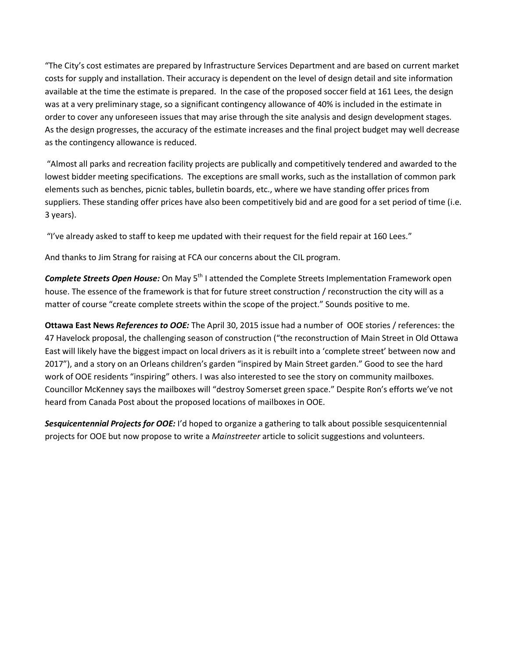"The City's cost estimates are prepared by Infrastructure Services Department and are based on current market costs for supply and installation. Their accuracy is dependent on the level of design detail and site information available at the time the estimate is prepared. In the case of the proposed soccer field at 161 Lees, the design was at a very preliminary stage, so a significant contingency allowance of 40% is included in the estimate in order to cover any unforeseen issues that may arise through the site analysis and design development stages. As the design progresses, the accuracy of the estimate increases and the final project budget may well decrease as the contingency allowance is reduced.

"Almost all parks and recreation facility projects are publically and competitively tendered and awarded to the lowest bidder meeting specifications. The exceptions are small works, such as the installation of common park elements such as benches, picnic tables, bulletin boards, etc., where we have standing offer prices from suppliers. These standing offer prices have also been competitively bid and are good for a set period of time (i.e. 3 years).

"I've already asked to staff to keep me updated with their request for the field repair at 160 Lees."

And thanks to Jim Strang for raising at FCA our concerns about the CIL program.

**Complete Streets Open House:** On May 5<sup>th</sup> I attended the Complete Streets Implementation Framework open house. The essence of the framework is that for future street construction / reconstruction the city will as a matter of course "create complete streets within the scope of the project." Sounds positive to me.

**Ottawa East News** *References to OOE:* The April 30, 2015 issue had a number of OOE stories / references: the 47 Havelock proposal, the challenging season of construction ("the reconstruction of Main Street in Old Ottawa East will likely have the biggest impact on local drivers as it is rebuilt into a 'complete street' between now and 2017"), and a story on an Orleans children's garden "inspired by Main Street garden." Good to see the hard work of OOE residents "inspiring" others. I was also interested to see the story on community mailboxes. Councillor McKenney says the mailboxes will "destroy Somerset green space." Despite Ron's efforts we've not heard from Canada Post about the proposed locations of mailboxes in OOE.

*Sesquicentennial Projects for OOE:* I'd hoped to organize a gathering to talk about possible sesquicentennial projects for OOE but now propose to write a *Mainstreeter* article to solicit suggestions and volunteers.